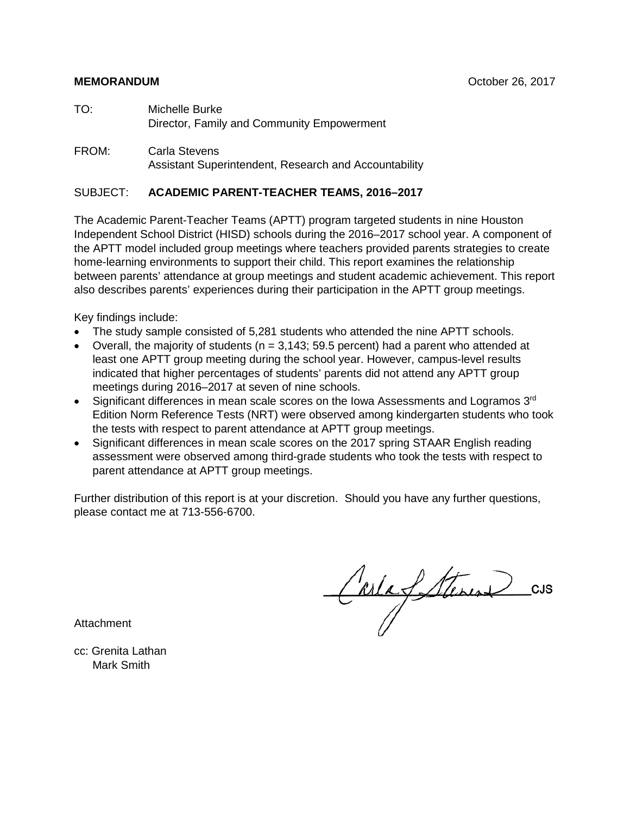### **MEMORANDUM** October 26, 2017

- TO: Michelle Burke Director, Family and Community Empowerment
- FROM: Carla Stevens Assistant Superintendent, Research and Accountability

### SUBJECT: **ACADEMIC PARENT-TEACHER TEAMS, 2016–2017**

The Academic Parent-Teacher Teams (APTT) program targeted students in nine Houston Independent School District (HISD) schools during the 2016–2017 school year. A component of the APTT model included group meetings where teachers provided parents strategies to create home-learning environments to support their child. This report examines the relationship between parents' attendance at group meetings and student academic achievement. This report also describes parents' experiences during their participation in the APTT group meetings.

Key findings include:

- The study sample consisted of 5,281 students who attended the nine APTT schools.
- Overall, the majority of students ( $n = 3,143; 59.5$  percent) had a parent who attended at least one APTT group meeting during the school year. However, campus-level results indicated that higher percentages of students' parents did not attend any APTT group meetings during 2016–2017 at seven of nine schools.
- Significant differences in mean scale scores on the Iowa Assessments and Logramos  $3<sup>rd</sup>$ Edition Norm Reference Tests (NRT) were observed among kindergarten students who took the tests with respect to parent attendance at APTT group meetings.
- Significant differences in mean scale scores on the 2017 spring STAAR English reading assessment were observed among third-grade students who took the tests with respect to parent attendance at APTT group meetings.

Further distribution of this report is at your discretion. Should you have any further questions, please contact me at 713-556-6700.

Carlafetterine  $_{\text{CJS}}$ 

**Attachment** 

cc: Grenita Lathan Mark Smith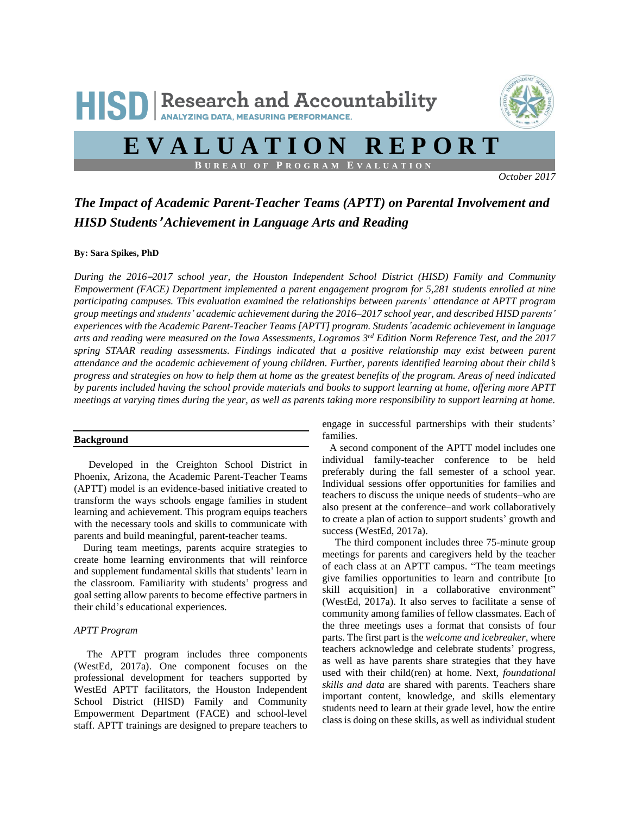

# **E V A L U A T I O N R E P O R T**

**B U R E A U O F P R O G R A M E V A L U A T I O N**

*October 2017*

### *The Impact of Academic Parent-Teacher Teams (APTT) on Parental Involvement and HISD Students*' *Achievement in Language Arts and Reading*

#### **By: Sara Spikes, PhD**

*During the 2016*–*2017 school year, the Houston Independent School District (HISD) Family and Community Empowerment (FACE) Department implemented a parent engagement program for 5,281 students enrolled at nine participating campuses. This evaluation examined the relationships between parents' attendance at APTT program group meetings and students' academic achievement during the 2016–2017 school year, and described HISD parents' experiences with the Academic Parent-Teacher Teams [APTT] program. Students*' *academic achievement in language* arts and reading were measured on the Iowa Assessments, Logramos  $3^{rd}$  Edition Norm Reference Test, and the 2017 *spring STAAR reading assessments. Findings indicated that a positive relationship may exist between parent* attendance and the academic achievement of young children. Further, parents identified learning about their child's progress and strategies on how to help them at home as the greatest benefits of the program. Areas of need indicated by parents included having the school provide materials and books to support learning at home, offering more APTT meetings at varying times during the year, as well as parents taking more responsibility to support learning at home.

#### **Background**

 Developed in the Creighton School District in Phoenix, Arizona, the Academic Parent-Teacher Teams (APTT) model is an evidence-based initiative created to transform the ways schools engage families in student learning and achievement. This program equips teachers with the necessary tools and skills to communicate with parents and build meaningful, parent-teacher teams.

During team meetings, parents acquire strategies to create home learning environments that will reinforce and supplement fundamental skills that students' learn in the classroom. Familiarity with students' progress and goal setting allow parents to become effective partners in their child's educational experiences.

#### *APTT Program*

 The APTT program includes three components (WestEd, 2017a). One component focuses on the professional development for teachers supported by WestEd APTT facilitators, the Houston Independent School District (HISD) Family and Community Empowerment Department (FACE) and school-level staff. APTT trainings are designed to prepare teachers to

engage in successful partnerships with their students' families.

A second component of the APTT model includes one individual family-teacher conference to be held preferably during the fall semester of a school year. Individual sessions offer opportunities for families and teachers to discuss the unique needs of students–who are also present at the conference–and work collaboratively to create a plan of action to support students' growth and success (WestEd, 2017a).

 The third component includes three 75-minute group meetings for parents and caregivers held by the teacher of each class at an APTT campus. "The team meetings give families opportunities to learn and contribute [to skill acquisition] in a collaborative environment" (WestEd, 2017a). It also serves to facilitate a sense of community among families of fellow classmates. Each of the three meetings uses a format that consists of four parts. The first part is the *welcome and icebreaker,* where teachers acknowledge and celebrate students' progress, as well as have parents share strategies that they have used with their child(ren) at home. Next, *foundational skills and data* are shared with parents. Teachers share important content, knowledge, and skills elementary students need to learn at their grade level, how the entire class is doing on these skills, as well as individual student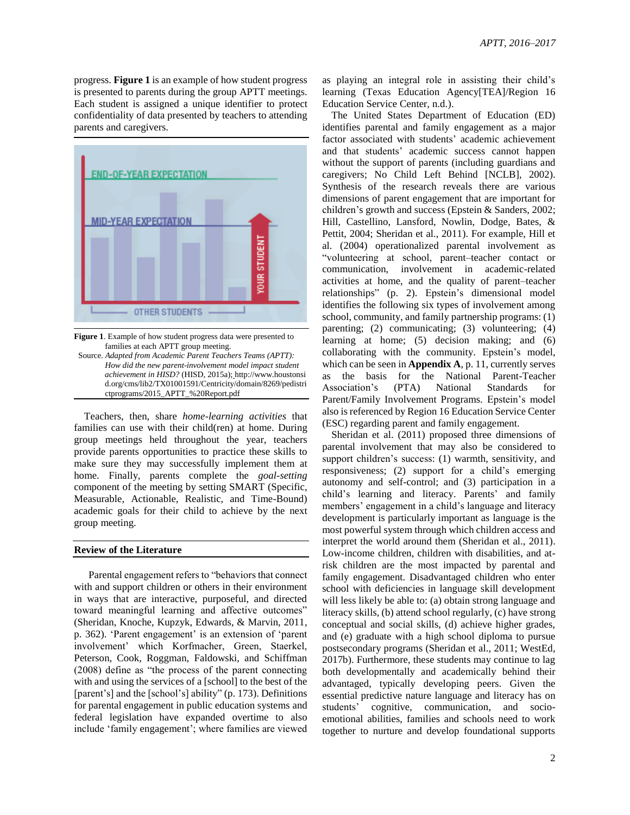progress. **Figure 1** is an example of how student progress is presented to parents during the group APTT meetings. Each student is assigned a unique identifier to protect confidentiality of data presented by teachers to attending parents and caregivers.



**Figure 1**. Example of how student progress data were presented to families at each APTT group meeting.

 Source. *Adapted from Academic Parent Teachers Teams (APTT): How did the new parent-involvement model impact student achievement in HISD?* (HISD, 2015a); http://www.houstonsi d.org/cms/lib2/TX01001591/Centricity/domain/8269/pedistri ctprograms/2015\_APTT\_%20Report.pdf

Teachers, then, share *home-learning activities* that families can use with their child(ren) at home. During group meetings held throughout the year, teachers provide parents opportunities to practice these skills to make sure they may successfully implement them at home. Finally, parents complete the *goal-setting* component of the meeting by setting SMART (Specific, Measurable, Actionable, Realistic, and Time-Bound) academic goals for their child to achieve by the next group meeting.

#### **Review of the Literature**

 Parental engagement refers to "behaviors that connect with and support children or others in their environment in ways that are interactive, purposeful, and directed toward meaningful learning and affective outcomes" (Sheridan, Knoche, Kupzyk, Edwards, & Marvin, 2011, p. 362). 'Parent engagement' is an extension of 'parent involvement' which Korfmacher, Green, Staerkel, Peterson, Cook, Roggman, Faldowski, and Schiffman (2008) define as "the process of the parent connecting with and using the services of a [school] to the best of the [parent's] and the [school's] ability" (p. 173). Definitions for parental engagement in public education systems and federal legislation have expanded overtime to also include 'family engagement'; where families are viewed as playing an integral role in assisting their child's learning (Texas Education Agency[TEA]/Region 16 Education Service Center, n.d.).

The United States Department of Education (ED) identifies parental and family engagement as a major factor associated with students' academic achievement and that students' academic success cannot happen without the support of parents (including guardians and caregivers; No Child Left Behind [NCLB], 2002). Synthesis of the research reveals there are various dimensions of parent engagement that are important for children's growth and success (Epstein & Sanders, 2002; Hill, Castellino, Lansford, Nowlin, Dodge, Bates, & Pettit, 2004; Sheridan et al., 2011). For example, Hill et al. (2004) operationalized parental involvement as "volunteering at school, parent–teacher contact or communication, involvement in academic-related activities at home, and the quality of parent–teacher relationships" (p. 2). Epstein's dimensional model identifies the following six types of involvement among school, community, and family partnership programs: (1) parenting; (2) communicating; (3) volunteering; (4) learning at home; (5) decision making; and (6) collaborating with the community. Epstein's model, which can be seen in **Appendix A**, p. 11, currently serves as the basis for the National Parent-Teacher Association's (PTA) National Standards for Parent/Family Involvement Programs. Epstein's model also is referenced by Region 16 Education Service Center (ESC) regarding parent and family engagement.

Sheridan et al. (2011) proposed three dimensions of parental involvement that may also be considered to support children's success: (1) warmth, sensitivity, and responsiveness; (2) support for a child's emerging autonomy and self-control; and (3) participation in a child's learning and literacy. Parents' and family members' engagement in a child's language and literacy development is particularly important as language is the most powerful system through which children access and interpret the world around them (Sheridan et al., 2011). Low-income children, children with disabilities, and atrisk children are the most impacted by parental and family engagement. Disadvantaged children who enter school with deficiencies in language skill development will less likely be able to: (a) obtain strong language and literacy skills, (b) attend school regularly, (c) have strong conceptual and social skills, (d) achieve higher grades, and (e) graduate with a high school diploma to pursue postsecondary programs (Sheridan et al., 2011; WestEd, 2017b). Furthermore, these students may continue to lag both developmentally and academically behind their advantaged, typically developing peers. Given the essential predictive nature language and literacy has on students' cognitive, communication, and socioemotional abilities, families and schools need to work together to nurture and develop foundational supports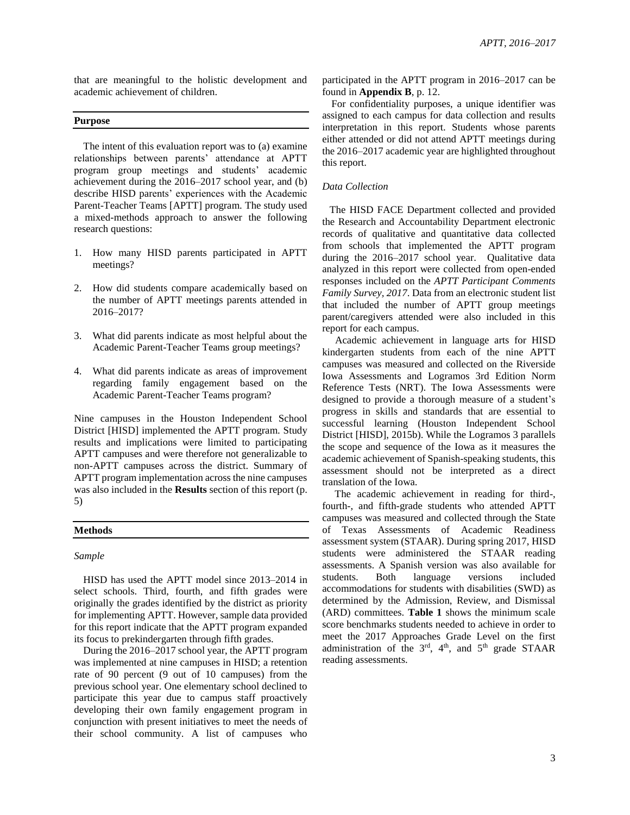that are meaningful to the holistic development and academic achievement of children.

#### **Purpose**

The intent of this evaluation report was to (a) examine relationships between parents' attendance at APTT program group meetings and students' academic achievement during the 2016–2017 school year, and (b) describe HISD parents' experiences with the Academic Parent-Teacher Teams [APTT] program. The study used a mixed-methods approach to answer the following research questions:

- 1. How many HISD parents participated in APTT meetings?
- 2. How did students compare academically based on the number of APTT meetings parents attended in 2016–2017?
- 3. What did parents indicate as most helpful about the Academic Parent-Teacher Teams group meetings?
- 4. What did parents indicate as areas of improvement regarding family engagement based on the Academic Parent-Teacher Teams program?

Nine campuses in the Houston Independent School District [HISD] implemented the APTT program. Study results and implications were limited to participating APTT campuses and were therefore not generalizable to non-APTT campuses across the district. Summary of APTT program implementation across the nine campuses was also included in the **Results** section of this report (p. 5)

#### **Methods**

#### *Sample*

HISD has used the APTT model since 2013–2014 in select schools. Third, fourth, and fifth grades were originally the grades identified by the district as priority for implementing APTT. However, sample data provided for this report indicate that the APTT program expanded its focus to prekindergarten through fifth grades.

During the 2016–2017 school year, the APTT program was implemented at nine campuses in HISD; a retention rate of 90 percent (9 out of 10 campuses) from the previous school year. One elementary school declined to participate this year due to campus staff proactively developing their own family engagement program in conjunction with present initiatives to meet the needs of their school community. A list of campuses who participated in the APTT program in 2016–2017 can be found in **Appendix B**, p. 12.

For confidentiality purposes, a unique identifier was assigned to each campus for data collection and results interpretation in this report. Students whose parents either attended or did not attend APTT meetings during the 2016–2017 academic year are highlighted throughout this report.

#### *Data Collection*

The HISD FACE Department collected and provided the Research and Accountability Department electronic records of qualitative and quantitative data collected from schools that implemented the APTT program during the 2016–2017 school year. Qualitative data analyzed in this report were collected from open-ended responses included on the *APTT Participant Comments Family Survey, 2017*. Data from an electronic student list that included the number of APTT group meetings parent/caregivers attended were also included in this report for each campus.

 Academic achievement in language arts for HISD kindergarten students from each of the nine APTT campuses was measured and collected on the Riverside Iowa Assessments and Logramos 3rd Edition Norm Reference Tests (NRT). The Iowa Assessments were designed to provide a thorough measure of a student's progress in skills and standards that are essential to successful learning (Houston Independent School District [HISD], 2015b). While the Logramos 3 parallels the scope and sequence of the Iowa as it measures the academic achievement of Spanish-speaking students, this assessment should not be interpreted as a direct translation of the Iowa.

 The academic achievement in reading for third-, fourth-, and fifth-grade students who attended APTT campuses was measured and collected through the State of Texas Assessments of Academic Readiness assessment system (STAAR). During spring 2017, HISD students were administered the STAAR reading assessments. A Spanish version was also available for students. Both language versions included accommodations for students with disabilities (SWD) as determined by the Admission, Review, and Dismissal (ARD) committees. **Table 1** shows the minimum scale score benchmarks students needed to achieve in order to meet the 2017 Approaches Grade Level on the first administration of the  $3<sup>rd</sup>$ ,  $4<sup>th</sup>$ , and  $5<sup>th</sup>$  grade STAAR reading assessments.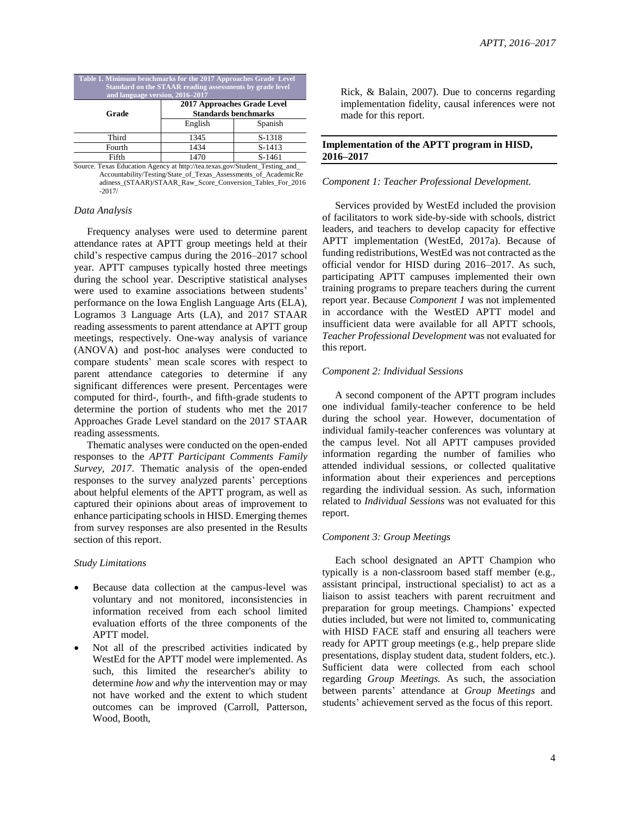| Table 1. Minimum benchmarks for the 2017 Approaches Grade Level<br>Standard on the STAAR reading assessments by grade level<br>and language version, 2016-2017 |                                                            |          |  |  |  |  |
|----------------------------------------------------------------------------------------------------------------------------------------------------------------|------------------------------------------------------------|----------|--|--|--|--|
| Grade                                                                                                                                                          | 2017 Approaches Grade Level<br><b>Standards benchmarks</b> |          |  |  |  |  |
|                                                                                                                                                                | English                                                    | Spanish  |  |  |  |  |
| Third                                                                                                                                                          | 1345                                                       | S-1318   |  |  |  |  |
| Fourth                                                                                                                                                         | 1434                                                       | $S-1413$ |  |  |  |  |
| Fifth                                                                                                                                                          | 1470<br>S-1461                                             |          |  |  |  |  |

Source. Texas Education Agency at http://tea.texas.gov/Student\_Testing\_and\_ Accountability/Testing/State\_of\_Texas\_Assessments\_of\_AcademicRe adiness\_(STAAR)/STAAR\_Raw\_Score\_Conversion\_Tables\_For\_2016 -2017/

#### *Data Analysis*

 Frequency analyses were used to determine parent attendance rates at APTT group meetings held at their child's respective campus during the 2016–2017 school year. APTT campuses typically hosted three meetings during the school year. Descriptive statistical analyses were used to examine associations between students' performance on the Iowa English Language Arts (ELA), Logramos 3 Language Arts (LA), and 2017 STAAR reading assessments to parent attendance at APTT group meetings, respectively. One-way analysis of variance (ANOVA) and post-hoc analyses were conducted to compare students' mean scale scores with respect to parent attendance categories to determine if any significant differences were present. Percentages were computed for third-, fourth-, and fifth-grade students to determine the portion of students who met the 2017 Approaches Grade Level standard on the 2017 STAAR reading assessments.

 Thematic analyses were conducted on the open-ended responses to the *APTT Participant Comments Family Survey, 2017*. Thematic analysis of the open-ended responses to the survey analyzed parents' perceptions about helpful elements of the APTT program, as well as captured their opinions about areas of improvement to enhance participating schools in HISD. Emerging themes from survey responses are also presented in the Results section of this report.

#### *Study Limitations*

- Because data collection at the campus-level was voluntary and not monitored, inconsistencies in information received from each school limited evaluation efforts of the three components of the APTT model.
- Not all of the prescribed activities indicated by WestEd for the APTT model were implemented. As such, this limited the researcher's ability to determine *how* and *why* the intervention may or may not have worked and the extent to which student outcomes can be improved (Carroll, Patterson, Wood, Booth,

Rick, & Balain, 2007). Due to concerns regarding implementation fidelity, causal inferences were not made for this report.

### **Implementation of the APTT program in HISD, 2016–2017**

#### *Component 1: Teacher Professional Development.*

 Services provided by WestEd included the provision of facilitators to work side-by-side with schools, district leaders, and teachers to develop capacity for effective APTT implementation (WestEd, 2017a). Because of funding redistributions, WestEd was not contracted asthe official vendor for HISD during 2016–2017. As such, participating APTT campuses implemented their own training programs to prepare teachers during the current report year. Because *Component 1* was not implemented in accordance with the WestED APTT model and insufficient data were available for all APTT schools, *Teacher Professional Development* was not evaluated for this report.

#### *Component 2: Individual Sessions*

A second component of the APTT program includes one individual family-teacher conference to be held during the school year. However, documentation of individual family-teacher conferences was voluntary at the campus level. Not all APTT campuses provided information regarding the number of families who attended individual sessions, or collected qualitative information about their experiences and perceptions regarding the individual session. As such, information related to *Individual Sessions* was not evaluated for this report.

#### *Component 3: Group Meetings*

Each school designated an APTT Champion who typically is a non-classroom based staff member (e.g., assistant principal, instructional specialist) to act as a liaison to assist teachers with parent recruitment and preparation for group meetings. Champions' expected duties included, but were not limited to, communicating with HISD FACE staff and ensuring all teachers were ready for APTT group meetings (e.g., help prepare slide presentations, display student data, student folders, etc.). Sufficient data were collected from each school regarding *Group Meetings.* As such, the association between parents' attendance at *Group Meetings* and students' achievement served as the focus of this report.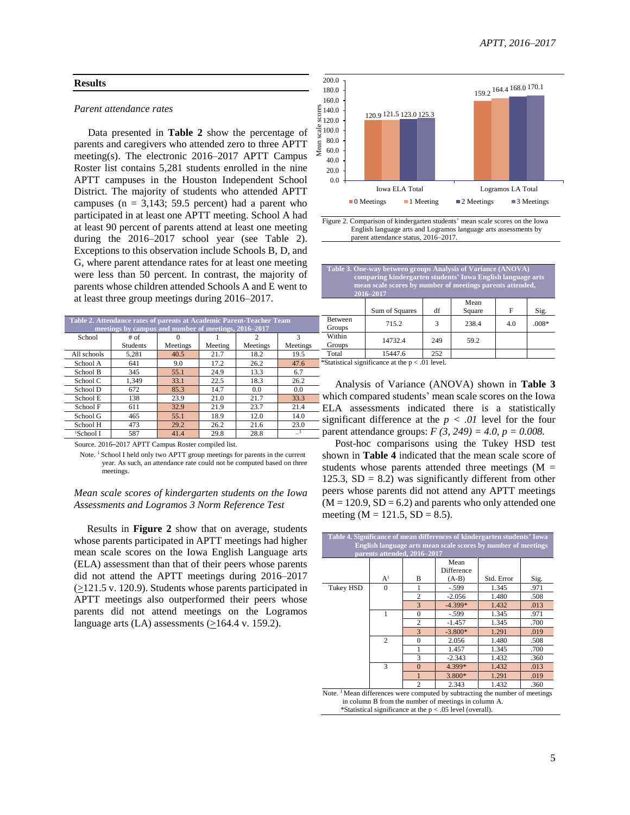## **Results**

#### *Parent attendance rates*

Data presented in **Table 2** show the percentage of parents and caregivers who attended zero to three APTT meeting(s). The electronic 2016–2017 APTT Campus Roster list contains 5,281 students enrolled in the nine APTT campuses in the Houston Independent School District. The majority of students who attended APTT campuses ( $n = 3,143$ ; 59.5 percent) had a parent who participated in at least one APTT meeting. School A had at least 90 percent of parents attend at least one meeting during the 2016–2017 school year (see Table 2). Exceptions to this observation include Schools B, D, and G, where parent attendance rates for at least one meeting were less than 50 percent. In contrast, the majority of parents whose children attended Schools A and E went to at least three group meetings during 2016–2017.

| Table 2. Attendance rates of parents at Academic Parent-Teacher Team |                 |          |         |          |          |  |  |
|----------------------------------------------------------------------|-----------------|----------|---------|----------|----------|--|--|
| meetings by campus and number of meetings, 2016–2017                 |                 |          |         |          |          |  |  |
| School                                                               | # of            |          |         |          | 3        |  |  |
|                                                                      | <b>Students</b> | Meetings | Meeting | Meetings | Meetings |  |  |
| All schools                                                          | 5.281           | 40.5     | 21.7    | 18.2     | 19.5     |  |  |
| School A                                                             | 641             | 9.0      | 17.2    | 26.2     | 47.6     |  |  |
| School B                                                             | 345             | 55.1     | 24.9    | 13.3     | 6.7      |  |  |
| School C                                                             | 1.349           | 33.1     | 22.5    | 18.3     | 26.2     |  |  |
| School D                                                             | 672             | 85.3     | 14.7    | 0.0      | 0.0      |  |  |
| School E                                                             | 138             | 23.9     | 21.0    | 21.7     | 33.3     |  |  |
| School F                                                             | 611             | 32.9     | 21.9    | 23.7     | 21.4     |  |  |
| School G                                                             | 465             | 55.1     | 18.9    | 12.0     | 14.0     |  |  |
| School H                                                             | 473             | 29.2     | 26.2    | 21.6     | 23.0     |  |  |
| <sup>1</sup> School I                                                | 587             | 41.4     | 29.8    | 28.8     |          |  |  |





**Table 3. One-way between groups Analysis of Variance (ANOVA) comparing kindergarten students' Iowa English language arts 12.13 mean scale scores by number of meetings parents attended, 2016–2017**

|                   | Sum of Squares | df  | Mean<br>Square | F   | Sig.    |
|-------------------|----------------|-----|----------------|-----|---------|
| Between<br>Groups | 715.2          | 3   | 238.4          | 4.0 | $.008*$ |
| Within<br>Groups  | 14732.4        | 249 | 59.2           |     |         |
| Total             | 15447.6        | 252 |                |     |         |

\*Statistical significance at the p < .01 level.

200.0

Mean

 Analysis of Variance (ANOVA) shown in **Table 3** which compared students' mean scale scores on the Iowa ELA assessments indicated there is a statistically significant difference at the  $p < .01$  level for the four parent attendance groups:  $F(3, 249) = 4.0$ ,  $p = 0.008$ .

Source. 2016–2017 APTT Campus Roster compiled list.

Note. <sup>1</sup> School I held only two APTT group meetings for parents in the current year. As such, an attendance rate could not be computed based on three meetings.

#### *Mean scale scores of kindergarten students on the Iowa Assessments and Logramos 3 Norm Reference Test*

 Results in **Figure 2** show that on average, students whose parents participated in APTT meetings had higher mean scale scores on the Iowa English Language arts (ELA) assessment than that of their peers whose parents did not attend the APTT meetings during 2016–2017  $(≥121.5 v. 120.9)$ . Students whose parents participated in APTT meetings also outperformed their peers whose parents did not attend meetings on the Logramos language arts (LA) assessments  $(≥164.4$  v. 159.2).

 Post-hoc comparisons using the Tukey HSD test shown in **Table 4** indicated that the mean scale score of students whose parents attended three meetings  $(M =$ 125.3,  $SD = 8.2$ ) was significantly different from other peers whose parents did not attend any APTT meetings  $(M = 120.9, SD = 6.2)$  and parents who only attended one meeting  $(M = 121.5, SD = 8.5)$ .

| English language arts mean scale scores by number of meetings<br>parents attended, 2016-2017 |                |                |            |            |      |
|----------------------------------------------------------------------------------------------|----------------|----------------|------------|------------|------|
|                                                                                              |                |                | Mean       |            |      |
|                                                                                              |                |                | Difference |            |      |
|                                                                                              | A <sup>1</sup> | B              | $(A-B)$    | Std. Error | Sig. |
| Tukey HSD                                                                                    | $\Omega$       |                | $-.599$    | 1.345      | .971 |
|                                                                                              |                | $\overline{c}$ | $-2.056$   | 1.480      | .508 |
|                                                                                              |                | 3              | $-4.399*$  | 1.432      | .013 |
|                                                                                              |                | $\theta$       | $-.599$    | 1.345      | .971 |
|                                                                                              |                | $\overline{c}$ | $-1.457$   | 1.345      | .700 |
|                                                                                              |                | 3              | $-3.800*$  | 1.291      | .019 |
|                                                                                              | $\overline{c}$ | $\theta$       | 2.056      | 1.480      | .508 |
|                                                                                              |                |                | 1.457      | 1.345      | .700 |
|                                                                                              |                | 3              | $-2.343$   | 1.432      | .360 |
|                                                                                              | 3              | $\Omega$       | 4.399*     | 1.432      | .013 |
|                                                                                              |                |                | 3.800*     | 1.291      | .019 |
|                                                                                              |                | $\mathfrak{D}$ | 2.343      | 1.432      | .360 |

 in column B from the number of meetings in column A. \*Statistical significance at the p < .05 level (overall).

Ī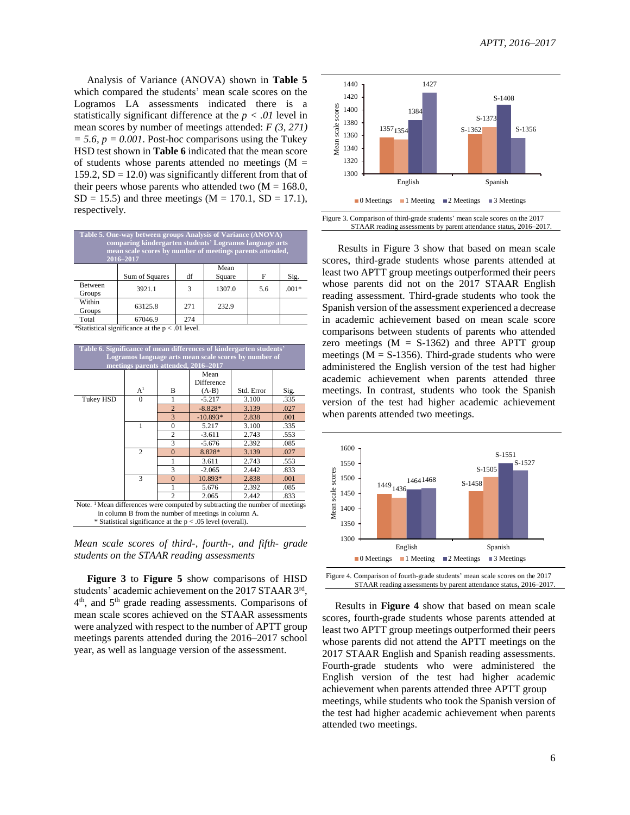Analysis of Variance (ANOVA) shown in **Table 5** which compared the students' mean scale scores on the Logramos LA assessments indicated there is a statistically significant difference at the  $p < .01$  level in mean scores by number of meetings attended: *F (3, 271)*  $= 5.6$ ,  $p = 0.001$ . Post-hoc comparisons using the Tukey HSD test shown in **Table 6** indicated that the mean score of students whose parents attended no meetings  $(M =$ 159.2,  $SD = 12.0$ ) was significantly different from that of their peers whose parents who attended two  $(M = 168.0,$  $SD = 15.5$ ) and three meetings (M = 170.1, SD = 17.1), respectively.

| Table 5. One-way between groups Analysis of Variance (ANOVA)<br>comparing kindergarten students' Logramos language arts<br>mean scale scores by number of meetings parents attended,<br>2016-2017 |                |     |                |     |         |  |  |
|---------------------------------------------------------------------------------------------------------------------------------------------------------------------------------------------------|----------------|-----|----------------|-----|---------|--|--|
|                                                                                                                                                                                                   | Sum of Squares | df  | Mean<br>Square | F   | Sig.    |  |  |
| <b>Between</b><br>Groups                                                                                                                                                                          | 3921.1         | 3   | 1307.0         | 5.6 | $.001*$ |  |  |
| Within<br>Groups                                                                                                                                                                                  | 63125.8        | 271 | 232.9          |     |         |  |  |
| Total                                                                                                                                                                                             | 67046.9        | 274 |                |     |         |  |  |

\*Statistical significance at the  $p < .01$  level.

|                                                                                         | meetings parents attended, 2016-2017 |                |                           |            |      |  |  |
|-----------------------------------------------------------------------------------------|--------------------------------------|----------------|---------------------------|------------|------|--|--|
|                                                                                         |                                      |                | Mean<br><b>Difference</b> |            |      |  |  |
|                                                                                         | $A^1$                                | B              | $(A-B)$                   | Std. Error | Sig. |  |  |
| Tukey HSD                                                                               | $\Omega$                             | 1              | $-5.217$                  | 3.100      | .335 |  |  |
|                                                                                         |                                      | $\overline{2}$ | $-8.828*$                 | 3.139      | .027 |  |  |
|                                                                                         |                                      | 3              | $-10.893*$                | 2.838      | .001 |  |  |
|                                                                                         | 1                                    | $\Omega$       | 5.217                     | 3.100      | .335 |  |  |
|                                                                                         |                                      | $\overline{c}$ | $-3.611$                  | 2.743      | .553 |  |  |
|                                                                                         |                                      | 3              | $-5.676$                  | 2.392      | .085 |  |  |
|                                                                                         | $\overline{c}$                       | $\Omega$       | 8.828*                    | 3.139      | .027 |  |  |
|                                                                                         |                                      |                | 3.611                     | 2.743      | .553 |  |  |
|                                                                                         |                                      | 3              | $-2.065$                  | 2.442      | .833 |  |  |
|                                                                                         | 3                                    | $\Omega$       | 10.893*                   | 2.838      | .001 |  |  |
|                                                                                         |                                      |                | 5.676                     | 2.392      | .085 |  |  |
| 2.442<br>2.065<br>.833                                                                  |                                      |                |                           |            |      |  |  |
| Note. <sup>1</sup> Mean differences were computed by subtracting the number of meetings |                                      |                |                           |            |      |  |  |

#### *Mean scale scores of third-, fourth-, and fifth- grade students on the STAAR reading assessments*

 **Figure 3** to **Figure 5** show comparisons of HISD students' academic achievement on the 2017 STAAR 3rd, 4<sup>th</sup>, and 5<sup>th</sup> grade reading assessments. Comparisons of mean scale scores achieved on the STAAR assessments were analyzed with respect to the number of APTT group meetings parents attended during the 2016–2017 school year, as well as language version of the assessment.



 Results in Figure 3 show that based on mean scale scores, third-grade students whose parents attended at least two APTT group meetings outperformed their peers whose parents did not on the 2017 STAAR English reading assessment. Third-grade students who took the Spanish version of the assessment experienced a decrease in academic achievement based on mean scale score comparisons between students of parents who attended zero meetings  $(M = S-1362)$  and three APTT group meetings ( $M = S-1356$ ). Third-grade students who were administered the English version of the test had higher academic achievement when parents attended three meetings. In contrast, students who took the Spanish version of the test had higher academic achievement when parents attended two meetings.



 Results in **Figure 4** show that based on mean scale scores, fourth-grade students whose parents attended at least two APTT group meetings outperformed their peers whose parents did not attend the APTT meetings on the 2017 STAAR English and Spanish reading assessments. Fourth-grade students who were administered the English version of the test had higher academic achievement when parents attended three APTT group meetings, while students who took the Spanish version of the test had higher academic achievement when parents attended two meetings.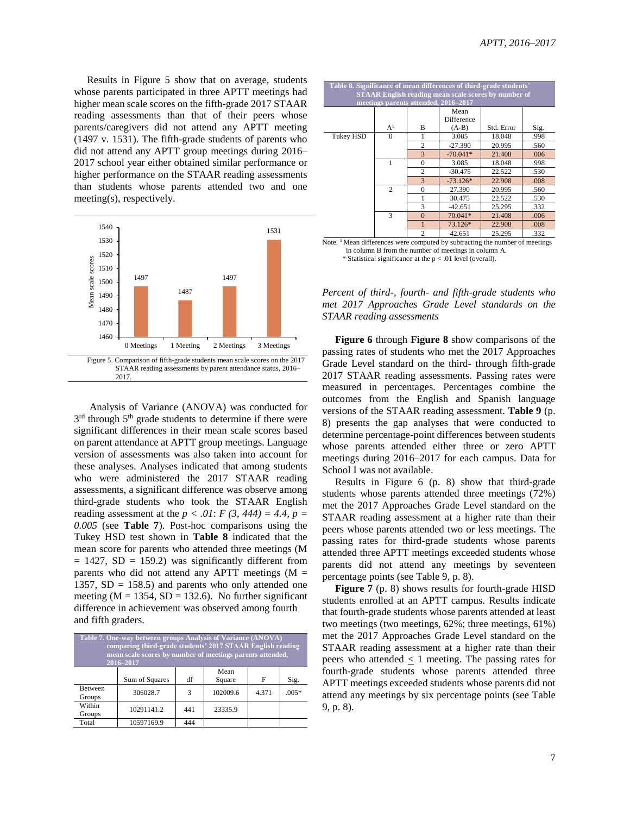Results in Figure 5 show that on average, students whose parents participated in three APTT meetings had higher mean scale scores on the fifth-grade 2017 STAAR reading assessments than that of their peers whose parents/caregivers did not attend any APTT meeting (1497 v. 1531). The fifth-grade students of parents who did not attend any APTT group meetings during 2016– 2017 school year either obtained similar performance or higher performance on the STAAR reading assessments than students whose parents attended two and one meeting(s), respectively.



 Analysis of Variance (ANOVA) was conducted for 3<sup>rd</sup> through 5<sup>th</sup> grade students to determine if there were significant differences in their mean scale scores based on parent attendance at APTT group meetings. Language version of assessments was also taken into account for these analyses. Analyses indicated that among students who were administered the 2017 STAAR reading assessments, a significant difference was observe among third-grade students who took the STAAR English reading assessment at the  $p < .01$ :  $F(3, 444) = 4.4$ ,  $p =$ *0.005* (see **Table 7**). Post-hoc comparisons using the Tukey HSD test shown in **Table 8** indicated that the mean score for parents who attended three meetings (M  $= 1427$ , SD  $= 159.2$ ) was significantly different from parents who did not attend any APTT meetings  $(M =$ 1357,  $SD = 158.5$ ) and parents who only attended one meeting ( $M = 1354$ ,  $SD = 132.6$ ). No further significant difference in achievement was observed among fourth and fifth graders.

| Table 7. One-way between groups Analysis of Variance (ANOVA)<br>comparing third-grade students' 2017 STAAR English reading<br>mean scale scores by number of meetings parents attended,<br>2016-2017 |                |     |                |       |         |  |
|------------------------------------------------------------------------------------------------------------------------------------------------------------------------------------------------------|----------------|-----|----------------|-------|---------|--|
|                                                                                                                                                                                                      | Sum of Squares | df  | Mean<br>Square | F     | Sig.    |  |
| <b>Between</b><br>Groups                                                                                                                                                                             | 306028.7       | 3   | 102009.6       | 4.371 | $.005*$ |  |
| Within<br>Groups                                                                                                                                                                                     | 10291141.2     | 441 | 23335.9        |       |         |  |
| Total                                                                                                                                                                                                | 10597169.9     | 444 |                |       |         |  |

| Table 8. Significance of mean differences of third-grade students'<br><b>STAAR English reading mean scale scores by number of</b><br>meetings parents attended, 2016–2017 |                |                |                               |            |      |  |
|---------------------------------------------------------------------------------------------------------------------------------------------------------------------------|----------------|----------------|-------------------------------|------------|------|--|
|                                                                                                                                                                           | A <sup>1</sup> | B              | Mean<br>Difference<br>$(A-B)$ | Std. Error | Sig. |  |
| Tukey HSD                                                                                                                                                                 | $\Omega$       |                | 3.085                         | 18.048     | .998 |  |
|                                                                                                                                                                           |                | $\overline{2}$ | $-27.390$                     | 20.995     | .560 |  |
|                                                                                                                                                                           |                | 3              | $-70.041*$                    | 21.408     | .006 |  |
|                                                                                                                                                                           |                | $\theta$       | 3.085                         | 18.048     | .998 |  |
|                                                                                                                                                                           |                | $\overline{c}$ | $-30.475$                     | 22.522     | .530 |  |
|                                                                                                                                                                           |                | 3              | $-73.126*$                    | 22.908     | .008 |  |
|                                                                                                                                                                           | $\overline{2}$ | $\mathbf{0}$   | 27.390                        | 20.995     | .560 |  |
|                                                                                                                                                                           |                |                | 30.475                        | 22.522     | .530 |  |
|                                                                                                                                                                           |                | 3              | $-42.651$                     | 25.295     | .332 |  |
|                                                                                                                                                                           | 3              | $\Omega$       | 70.041*                       | 21.408     | .006 |  |
|                                                                                                                                                                           |                | 1              | 73.126*                       | 22.908     | .008 |  |
|                                                                                                                                                                           |                | $\overline{c}$ | 42.651                        | 25.295     | .332 |  |
| Note. $\frac{1}{1}$ Mean differences were computed by subtracting the number of meetings                                                                                  |                |                |                               |            |      |  |

 in column B from the number of meetings in column A. \* Statistical significance at the p < .01 level (overall).

*Percent of third-, fourth- and fifth-grade students who met 2017 Approaches Grade Level standards on the STAAR reading assessments*

 **Figure 6** through **Figure 8** show comparisons of the passing rates of students who met the 2017 Approaches Grade Level standard on the third- through fifth-grade 2017 STAAR reading assessments. Passing rates were measured in percentages. Percentages combine the outcomes from the English and Spanish language versions of the STAAR reading assessment. **Table 9** (p. 8) presents the gap analyses that were conducted to determine percentage-point differences between students whose parents attended either three or zero APTT meetings during 2016–2017 for each campus. Data for School I was not available.

 Results in Figure 6 (p. 8) show that third-grade students whose parents attended three meetings (72%) met the 2017 Approaches Grade Level standard on the STAAR reading assessment at a higher rate than their peers whose parents attended two or less meetings. The passing rates for third-grade students whose parents attended three APTT meetings exceeded students whose parents did not attend any meetings by seventeen percentage points (see Table 9, p. 8).

**Figure** 7 (p. 8) shows results for fourth-grade HISD students enrolled at an APTT campus. Results indicate that fourth-grade students whose parents attended at least two meetings (two meetings, 62%; three meetings, 61%) met the 2017 Approaches Grade Level standard on the STAAR reading assessment at a higher rate than their peers who attended < 1 meeting. The passing rates for fourth-grade students whose parents attended three APTT meetings exceeded students whose parents did not attend any meetings by six percentage points (see Table 9, p. 8).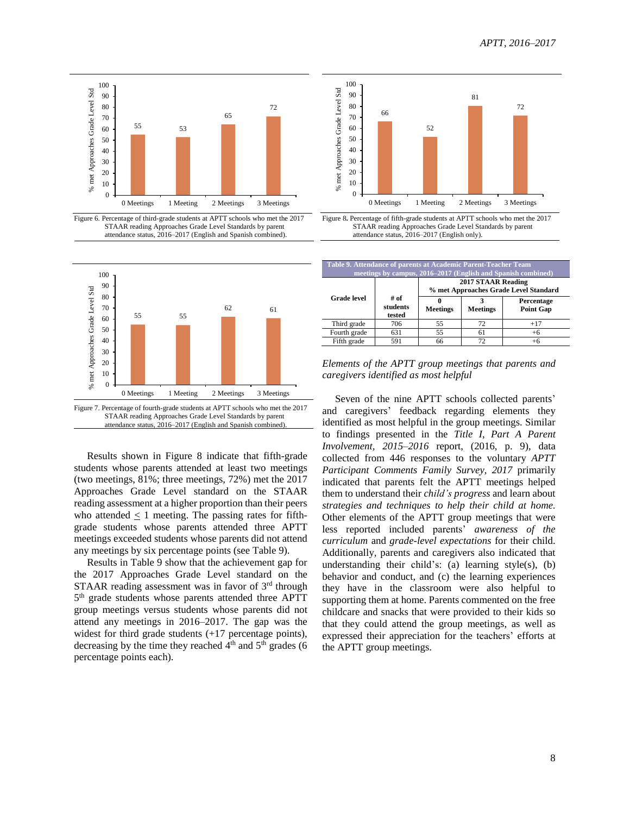



Ī







Figure 7. Percentage of fourth-grade students at APTT schools who met the 2017 STAAR reading Approaches Grade Level Standards by parent attendance status, 2016–2017 (English and Spanish combined).

 Results shown in Figure 8 indicate that fifth-grade students whose parents attended at least two meetings (two meetings, 81%; three meetings, 72%) met the 2017 Approaches Grade Level standard on the STAAR reading assessment at a higher proportion than their peers who attended  $\leq$  1 meeting. The passing rates for fifthgrade students whose parents attended three APTT meetings exceeded students whose parents did not attend any meetings by six percentage points (see Table 9).

 Results in Table 9 show that the achievement gap for the 2017 Approaches Grade Level standard on the STAAR reading assessment was in favor of 3rd through 5<sup>th</sup> grade students whose parents attended three APTT group meetings versus students whose parents did not attend any meetings in 2016–2017. The gap was the widest for third grade students  $(+17)$  percentage points), decreasing by the time they reached  $4<sup>th</sup>$  and  $5<sup>th</sup>$  grades (6) percentage points each).

| Table 9. Attendance of parents at Academic Parent-Teacher Team<br>meetings by campus, 2016–2017 (English and Spanish combined) |                            |                                                                    |                 |                                |  |  |
|--------------------------------------------------------------------------------------------------------------------------------|----------------------------|--------------------------------------------------------------------|-----------------|--------------------------------|--|--|
|                                                                                                                                |                            | <b>2017 STAAR Reading</b><br>% met Approaches Grade Level Standard |                 |                                |  |  |
| <b>Grade</b> level                                                                                                             | # of<br>students<br>tested | <b>Meetings</b>                                                    | <b>Meetings</b> | Percentage<br><b>Point Gap</b> |  |  |
| Third grade                                                                                                                    | 706                        | 55                                                                 | 72              | $+17$                          |  |  |
| Fourth grade                                                                                                                   | 631                        | 55                                                                 | 61              | $+6$                           |  |  |
| Fifth grade                                                                                                                    | 591                        | 66                                                                 | 72              |                                |  |  |

*Elements of the APTT group meetings that parents and caregivers identified as most helpful*

 Seven of the nine APTT schools collected parents' and caregivers' feedback regarding elements they identified as most helpful in the group meetings. Similar to findings presented in the *Title I, Part A Parent Involvement, 2015–2016* report, (2016, p. 9), data collected from 446 responses to the voluntary *APTT Participant Comments Family Survey, 2017* primarily indicated that parents felt the APTT meetings helped them to understand their *child's progress* and learn about *strategies and techniques to help their child at home.* Other elements of the APTT group meetings that were less reported included parents' *awareness of the curriculum* and *grade-level expectations* for their child. Additionally, parents and caregivers also indicated that understanding their child's: (a) learning style(s), (b) behavior and conduct, and (c) the learning experiences they have in the classroom were also helpful to supporting them at home. Parents commented on the free childcare and snacks that were provided to their kids so that they could attend the group meetings, as well as expressed their appreciation for the teachers' efforts at the APTT group meetings.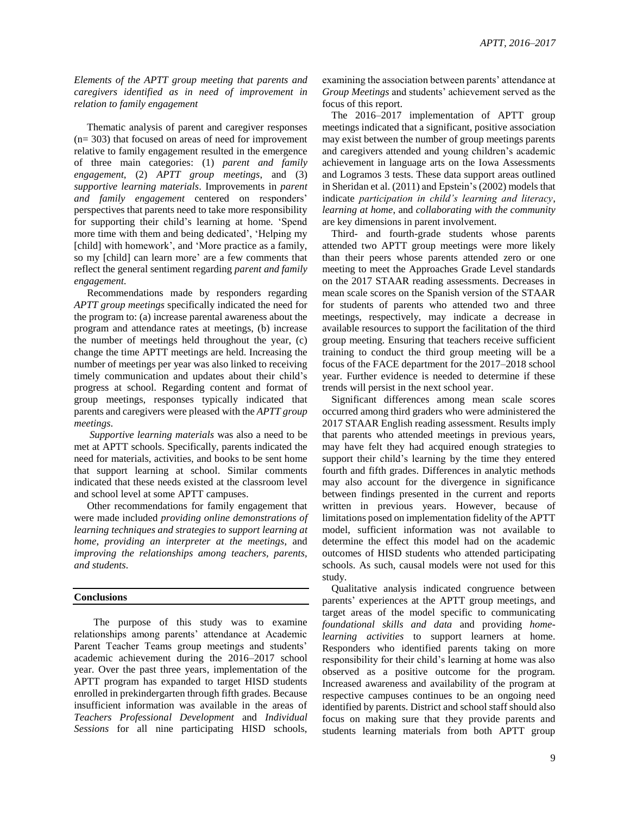*Elements of the APTT group meeting that parents and caregivers identified as in need of improvement in relation to family engagement*

Thematic analysis of parent and caregiver responses (n= 303) that focused on areas of need for improvement relative to family engagement resulted in the emergence of three main categories: (1) *parent and family engagement*, (2) *APTT group meetings*, and (3) *supportive learning materials*. Improvements in *parent and family engagement* centered on responders' perspectives that parents need to take more responsibility for supporting their child's learning at home. 'Spend more time with them and being dedicated', 'Helping my [child] with homework', and 'More practice as a family, so my [child] can learn more' are a few comments that reflect the general sentiment regarding *parent and family engagement*.

 Recommendations made by responders regarding *APTT group meetings* specifically indicated the need for the program to: (a) increase parental awareness about the program and attendance rates at meetings, (b) increase the number of meetings held throughout the year, (c) change the time APTT meetings are held. Increasing the number of meetings per year was also linked to receiving timely communication and updates about their child's progress at school. Regarding content and format of group meetings, responses typically indicated that parents and caregivers were pleased with the *APTT group meetings*.

 *Supportive learning materials* was also a need to be met at APTT schools. Specifically, parents indicated the need for materials, activities, and books to be sent home that support learning at school. Similar comments indicated that these needs existed at the classroom level and school level at some APTT campuses.

 Other recommendations for family engagement that were made included *providing online demonstrations of learning techniques and strategies to support learning at home*, *providing an interpreter at the meetings*, and *improving the relationships among teachers, parents, and students*.

#### **Conclusions**

 The purpose of this study was to examine relationships among parents' attendance at Academic Parent Teacher Teams group meetings and students' academic achievement during the 2016–2017 school year. Over the past three years, implementation of the APTT program has expanded to target HISD students enrolled in prekindergarten through fifth grades. Because insufficient information was available in the areas of *Teachers Professional Development* and *Individual Sessions* for all nine participating HISD schools, examining the association between parents' attendance at *Group Meetings* and students' achievement served as the focus of this report.

The 2016–2017 implementation of APTT group meetings indicated that a significant, positive association may exist between the number of group meetings parents and caregivers attended and young children's academic achievement in language arts on the Iowa Assessments and Logramos 3 tests. These data support areas outlined in Sheridan et al. (2011) and Epstein's (2002) models that indicate *participation in child's learning and literacy*, *learning at home*, and *collaborating with the community* are key dimensions in parent involvement.

Third- and fourth-grade students whose parents attended two APTT group meetings were more likely than their peers whose parents attended zero or one meeting to meet the Approaches Grade Level standards on the 2017 STAAR reading assessments. Decreases in mean scale scores on the Spanish version of the STAAR for students of parents who attended two and three meetings, respectively, may indicate a decrease in available resources to support the facilitation of the third group meeting. Ensuring that teachers receive sufficient training to conduct the third group meeting will be a focus of the FACE department for the 2017–2018 school year. Further evidence is needed to determine if these trends will persist in the next school year.

Significant differences among mean scale scores occurred among third graders who were administered the 2017 STAAR English reading assessment. Results imply that parents who attended meetings in previous years, may have felt they had acquired enough strategies to support their child's learning by the time they entered fourth and fifth grades. Differences in analytic methods may also account for the divergence in significance between findings presented in the current and reports written in previous years. However, because of limitations posed on implementation fidelity of the APTT model, sufficient information was not available to determine the effect this model had on the academic outcomes of HISD students who attended participating schools. As such, causal models were not used for this study.

Qualitative analysis indicated congruence between parents' experiences at the APTT group meetings, and target areas of the model specific to communicating *foundational skills and data* and providing *homelearning activities* to support learners at home. Responders who identified parents taking on more responsibility for their child's learning at home was also observed as a positive outcome for the program. Increased awareness and availability of the program at respective campuses continues to be an ongoing need identified by parents. District and school staff should also focus on making sure that they provide parents and students learning materials from both APTT group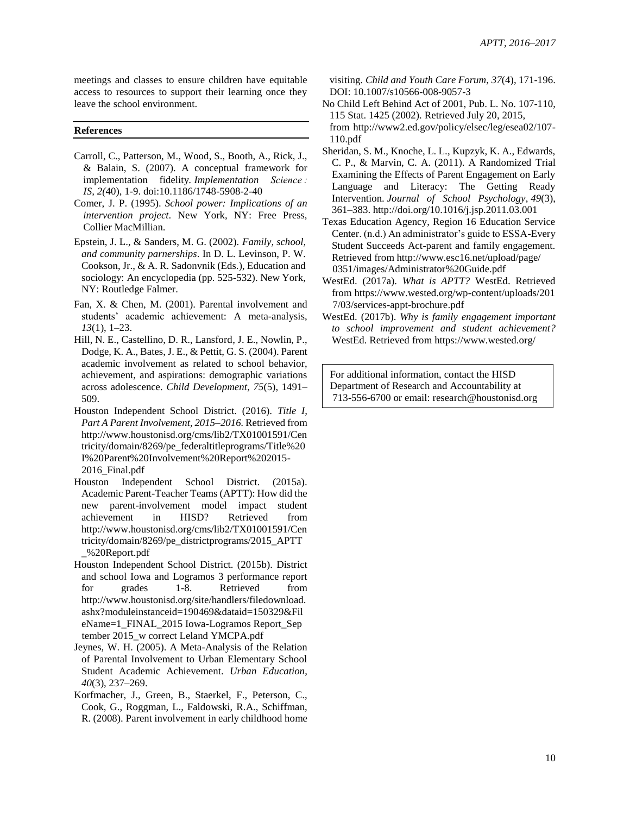meetings and classes to ensure children have equitable access to resources to support their learning once they leave the school environment.

#### **References**

- Carroll, C., Patterson, M., Wood, S., Booth, A., Rick, J., & Balain, S. (2007). A conceptual framework for implementation fidelity*. Implementation Science : IS, 2(*40), 1-9. doi:10.1186/1748-5908-2-40
- Comer, J. P. (1995). *School power: Implications of an intervention project*. New York, NY: Free Press, Collier MacMillian.
- Epstein, J. L., & Sanders, M. G. (2002). *Family, school, and community parnerships*. In D. L. Levinson, P. W. Cookson, Jr., & A. R. Sadonvnik (Eds.), Education and sociology: An encyclopedia (pp. 525-532). New York, NY: Routledge Falmer.
- Fan, X. & Chen, M. (2001). Parental involvement and students' academic achievement: A meta-analysis, *13*(1), 1–23.
- Hill, N. E., Castellino, D. R., Lansford, J. E., Nowlin, P., Dodge, K. A., Bates, J. E., & Pettit, G. S. (2004). Parent academic involvement as related to school behavior, achievement, and aspirations: demographic variations across adolescence. *Child Development*, *75*(5), 1491– 509.
- Houston Independent School District. (2016). *Title I, Part A Parent Involvement, 2015–2016.* Retrieved from http://www.houstonisd.org/cms/lib2/TX01001591/Cen tricity/domain/8269/pe\_federaltitleprograms/Title%20 I%20Parent%20Involvement%20Report%202015- 2016\_Final.pdf
- Houston Independent School District. (2015a). Academic Parent-Teacher Teams (APTT): How did the new parent-involvement model impact student achievement in HISD? Retrieved from http://www.houstonisd.org/cms/lib2/TX01001591/Cen tricity/domain/8269/pe\_districtprograms/2015\_APTT \_%20Report.pdf
- Houston Independent School District. (2015b). District and school Iowa and Logramos 3 performance report for grades 1-8. Retrieved from http://www.houstonisd.org/site/handlers/filedownload. ashx?moduleinstanceid=190469&dataid=150329&Fil eName=1\_FINAL\_2015 Iowa-Logramos Report\_Sep tember 2015\_w correct Leland YMCPA.pdf
- Jeynes, W. H. (2005). A Meta-Analysis of the Relation of Parental Involvement to Urban Elementary School Student Academic Achievement. *Urban Education*, *40*(3), 237–269.
- Korfmacher, J., Green, B., Staerkel, F., Peterson, C., Cook, G., Roggman, L., Faldowski, R.A., Schiffman, R. (2008). Parent involvement in early childhood home

visiting. *Child and Youth Care Forum*, *37*(4), 171-196. DOI: 10.1007/s10566-008-9057-3

- No Child Left Behind Act of 2001, Pub. L. No. 107-110, 115 Stat. 1425 (2002). Retrieved July 20, 2015, from http://www2.ed.gov/policy/elsec/leg/esea02/107- 110.pdf
- Sheridan, S. M., Knoche, L. L., Kupzyk, K. A., Edwards, C. P., & Marvin, C. A. (2011). A Randomized Trial Examining the Effects of Parent Engagement on Early Language and Literacy: The Getting Ready Intervention. *Journal of School Psychology*, *49*(3), 361–383. http://doi.org/10.1016/j.jsp.2011.03.001
- Texas Education Agency, Region 16 Education Service Center. (n.d.) An administrator's guide to ESSA-Every Student Succeeds Act-parent and family engagement. Retrieved from http://www.esc16.net/upload/page/ 0351/images/Administrator%20Guide.pdf
- WestEd. (2017a). *What is APTT?* WestEd. Retrieved from https://www.wested.org/wp-content/uploads/201 7/03/services-appt-brochure.pdf
- WestEd. (2017b). *Why is family engagement important to school improvement and student achievement?* WestEd. Retrieved from https://www.wested.org/

For additional information, contact the HISD Department of Research and Accountability at 713-556-6700 or email: research@houstonisd.org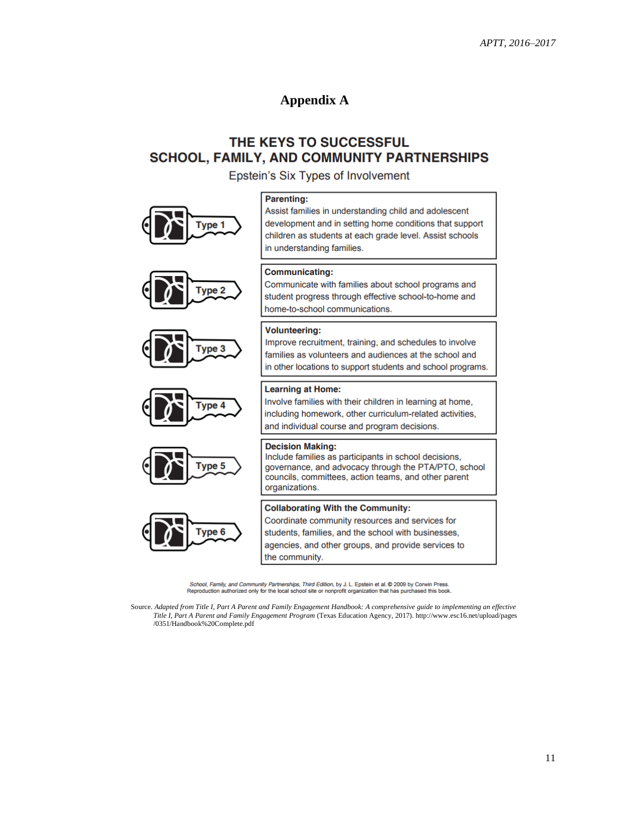### **Appendix A**

### THE KEYS TO SUCCESSFUL **SCHOOL, FAMILY, AND COMMUNITY PARTNERSHIPS**

Epstein's Six Types of Involvement

in understanding families.













#### **Communicating:**

**Parenting:** 

Communicate with families about school programs and student progress through effective school-to-home and home-to-school communications.

Assist families in understanding child and adolescent development and in setting home conditions that support

children as students at each grade level. Assist schools

#### **Volunteering:**

Improve recruitment, training, and schedules to involve families as volunteers and audiences at the school and in other locations to support students and school programs.

#### **Learning at Home:**

Involve families with their children in learning at home, including homework, other curriculum-related activities, and individual course and program decisions.

#### **Decision Making:**

Include families as participants in school decisions, governance, and advocacy through the PTA/PTO, school councils, committees, action teams, and other parent organizations.

#### **Collaborating With the Community:**

Coordinate community resources and services for students, families, and the school with businesses, agencies, and other groups, and provide services to the community.

School, Family, and Community Partnerships, Third Edition, by J. L. Epstein et al. @ 2009 by Corwin Press. Reproduction authorized only for the local school site or nonprofit organization that has purchased this book

Source. *Adapted from Title I, Part A Parent and Family Engagement Handbook: A comprehensive guide to implementing an effective Title I, Part A Parent and Family Engagement Program* (Texas Education Agency, 2017). http://www.esc16.net/upload/pages /0351/Handbook%20Complete.pdf